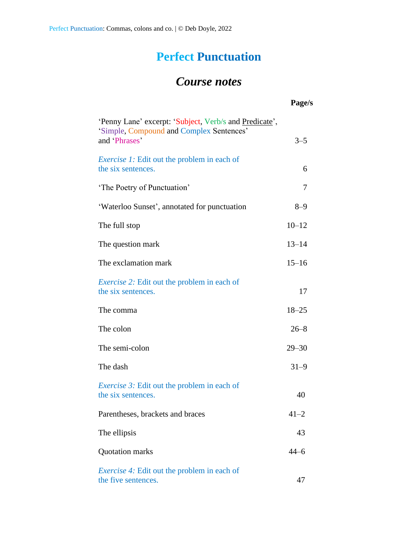## **Perfect Punctuation**

## *Course notes*

|                                                                                                                     | Page/s    |
|---------------------------------------------------------------------------------------------------------------------|-----------|
| 'Penny Lane' excerpt: 'Subject, Verb/s and Predicate',<br>'Simple, Compound and Complex Sentences'<br>and 'Phrases' | $3 - 5$   |
| <i>Exercise 1:</i> Edit out the problem in each of<br>the six sentences.                                            | 6         |
| 'The Poetry of Punctuation'                                                                                         | 7         |
| 'Waterloo Sunset', annotated for punctuation                                                                        | $8 - 9$   |
| The full stop                                                                                                       | $10 - 12$ |
| The question mark                                                                                                   | $13 - 14$ |
| The exclamation mark                                                                                                | $15 - 16$ |
| <i>Exercise 2:</i> Edit out the problem in each of<br>the six sentences.                                            | 17        |
| The comma                                                                                                           | $18 - 25$ |
| The colon                                                                                                           | $26 - 8$  |
| The semi-colon                                                                                                      | $29 - 30$ |
| The dash                                                                                                            | $31 - 9$  |
| <i>Exercise 3:</i> Edit out the problem in each of<br>the six sentences.                                            | 40        |
| Parentheses, brackets and braces                                                                                    | $41 - 2$  |
| The ellipsis                                                                                                        | 43        |
| Quotation marks                                                                                                     | $44 - 6$  |
| <i>Exercise 4:</i> Edit out the problem in each of<br>the five sentences.                                           | 47        |